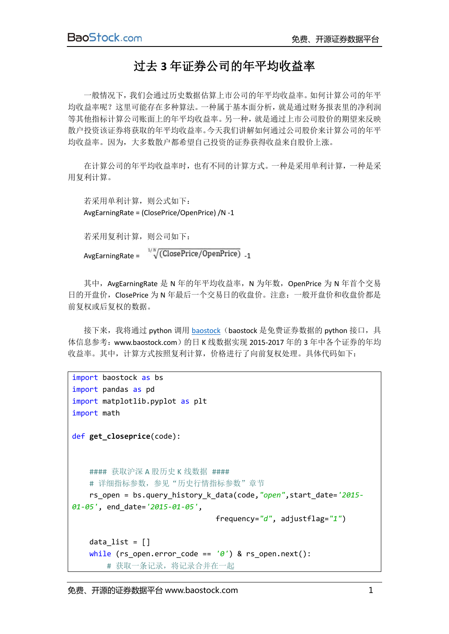## 过去 **3** 年证券公司的年平均收益率

一般情况下,我们会通过历史数据估算上市公司的年平均收益率。如何计算公司的年平 均收益率呢?这里可能存在多种算法。一种属于基本面分析,就是通过财务报表里的净利润 等其他指标计算公司账面上的年平均收益率。另一种,就是通过上市公司股价的期望来反映 散户投资该证券将获取的年平均收益率。今天我们讲解如何通过公司股价来计算公司的年平 均收益率。因为,大多数散户都希望自己投资的证券获得收益来自股价上涨。

在计算公司的年平均收益率时,也有不同的计算方式。一种是采用单利计算,一种是采 用复利计算。

```
若采用单利计算,则公式如下:
AvgEarningRate = (ClosePrice/OpenPrice) /N -1
```
若采用复利计算,则公司如下:

 $AvgEarningRate = \sqrt[1/N]{(ClosePrice/OpenPrice)}$ <sub>-1</sub>

其中, AvgEarningRate 是 N 年的年平均收益率, N 为年数, OpenPrice 为 N 年首个交易 日的开盘价, ClosePrice 为 N 年最后一个交易日的收盘价。注意: 一般开盘价和收盘价都是 前复权或后复权的数据。

接下来,我将通过 python 调用 [baostock](http://www.baostock.com/) (baostock 是免费证券数据的 python 接口, 具 体信息参考: www.baostock.com)的日 K 线数据实现 2015-2017 年的 3 年中各个证券的年均 收益率。其中,计算方式按照复利计算,价格进行了向前复权处理。具体代码如下:

```
import baostock as bs
import pandas as pd
import matplotlib.pyplot as plt
import math
def get_closeprice(code):
   #### 获取沪深 A 股历史 K 线数据 ####
   # 详细指标参数, 参见"历史行情指标参数"章节
    rs_open = bs.query_history_k_data(code,"open",start_date='2015-
01-05', end_date='2015-01-05',
                               frequency="d", adjustflag="1")
   data list = []
    while (rs_open.error_code == '0') & rs_open.next():
        # 获取一条记录,将记录合并在一起
```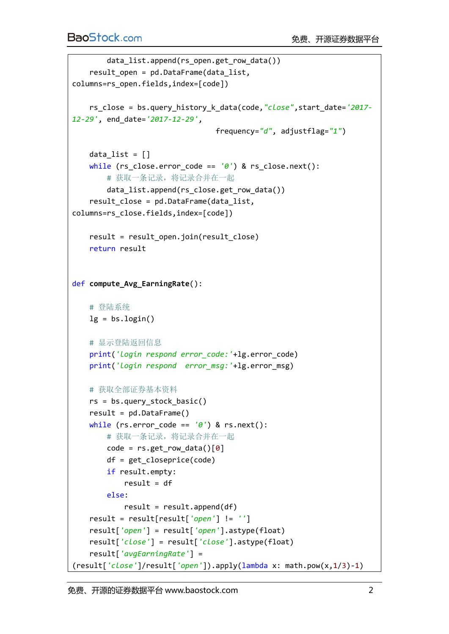```
data list.append(rs open.get row data())
    result_open = pd.DataFrame(data_list, 
columns=rs_open.fields,index=[code])
    rs_close = bs.query_history_k_data(code,"close",start_date='2017-
12-29', end_date='2017-12-29',
                                 frequency="d", adjustflag="1")
   data list = []
   while (rs close.error code == '0') & rs close.next():
        # 获取一条记录,将记录合并在一起
        data_list.append(rs_close.get_row_data())
    result_close = pd.DataFrame(data_list, 
columns=rs_close.fields,index=[code])
   result = result open.join(result close)
    return result
def compute_Avg_EarningRate():
    # 登陆系统
   lg = bs.login() # 显示登陆返回信息
    print('login respond error_code:'+lg.error_code)
    print('login respond error_msg:'+lg.error_msg)
    # 获取全部证券基本资料
   rs = bs.query stock basic()result = pd.DataFrame while (rs.error_code == '0') & rs.next():
        # 获取一条记录,将记录合并在一起
       code = rs.get_row_data()[0] df = get_closeprice(code)
        if result.empty:
           result = df else:
           result = result.append(df) result = result[result['open'] != '']
    result['open'] = result['open'].astype(float)
    result['close'] = result['close'].astype(float)
    result['avgEarningRate'] = 
(result['close']/result['open']).apply(lambda x: math.pow(x,1/3)-1)
```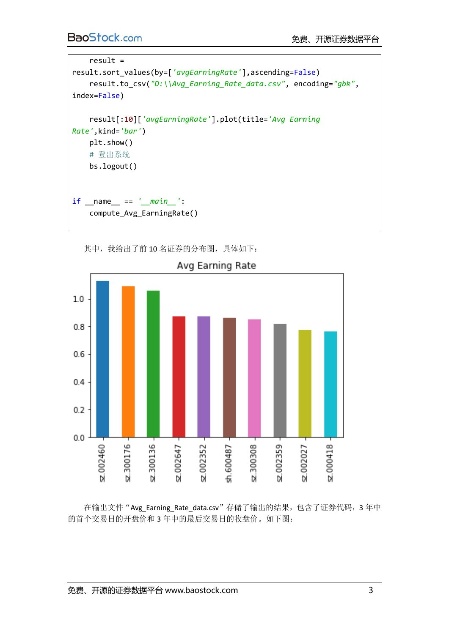```
 result = 
result.sort_values(by=['avgEarningRate'],ascending=False)
     result.to_csv("D:\\Avg_Earning_Rate_data.csv", encoding="gbk", 
index=False)
     result[:10]['avgEarningRate'].plot(title='Avg Earning 
Rate',kind='bar')
    plt.show()
     # 登出系统
     bs.logout()
if __name__ == '__main__':
     compute_Avg_EarningRate()
```
其中,我给出了前10名证券的分布图,具体如下:



Avg Earning Rate

在输出文件"Avg\_Earning\_Rate\_data.csv"存储了输出的结果,包含了证券代码,3年中 的首个交易日的开盘价和 3 年中的最后交易日的收盘价。如下图: